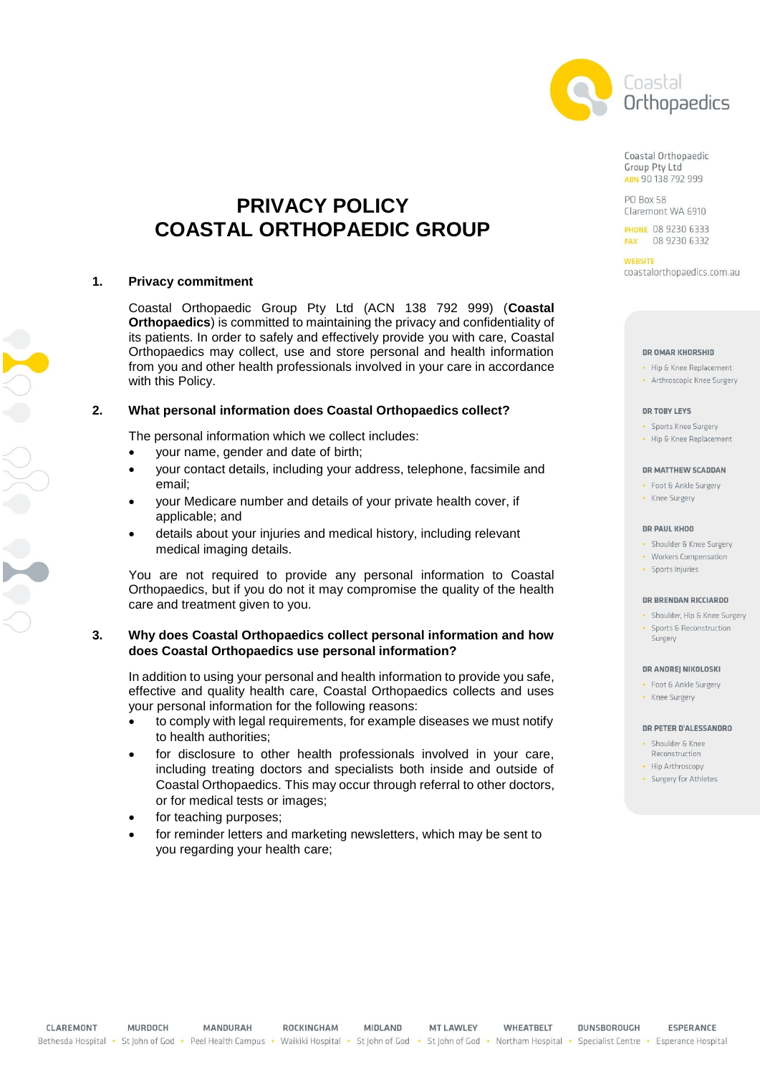

Coastal Orthopaedic Group Pty Ltd ABN 90 138 792 999

**PO Box 58** Claremont WA 6910

**PHONE 08 9230 6333** FAX 08 9230 6332

**WEBSITE** coastalorthopaedics.com.au

#### DR OMAR KHORSHID

- · Hip & Knee Replacement
- Arthroscopic Knee Surgery

#### **DR TORY LEVS**

- · Sports Knee Surgery
- Hip & Knee Replacement

#### DR MATTHEW SCADDAN

· Foot & Ankle Surgery · Knee Surgery

#### **DR PAUL KHOO**

- · Shoulder & Knee Surgery
- · Workers Compensation
- · Sports Injuries

Surgery

#### DR BRENDAN RICCIARDO

· Shoulder, Hip & Knee Surgery • Sports & Reconstruction

#### DR ANDREJ NIKOLOSKI

- · Foot & Ankle Surgery
- Knee Surgery

#### DR PETER D'ALESSANDRO

- · Shoulder & Knee
- Reconstruction
- Hip Arthroscopy
- · Surgery for Athletes

# **PRIVACY POLICY COASTAL ORTHOPAEDIC GROUP**

#### **1. Privacy commitment**

Coastal Orthopaedic Group Pty Ltd (ACN 138 792 999) (**Coastal Orthopaedics**) is committed to maintaining the privacy and confidentiality of its patients. In order to safely and effectively provide you with care, Coastal Orthopaedics may collect, use and store personal and health information from you and other health professionals involved in your care in accordance with this Policy.

## **2. What personal information does Coastal Orthopaedics collect?**

The personal information which we collect includes:

- your name, gender and date of birth;
- your contact details, including your address, telephone, facsimile and email;
- your Medicare number and details of your private health cover, if applicable; and
- details about your injuries and medical history, including relevant medical imaging details.

You are not required to provide any personal information to Coastal Orthopaedics, but if you do not it may compromise the quality of the health care and treatment given to you.

### **3. Why does Coastal Orthopaedics collect personal information and how does Coastal Orthopaedics use personal information?**

In addition to using your personal and health information to provide you safe, effective and quality health care, Coastal Orthopaedics collects and uses your personal information for the following reasons:

- to comply with legal requirements, for example diseases we must notify to health authorities;
- for disclosure to other health professionals involved in your care, including treating doctors and specialists both inside and outside of Coastal Orthopaedics. This may occur through referral to other doctors, or for medical tests or images;
- for teaching purposes;
- for reminder letters and marketing newsletters, which may be sent to you regarding your health care;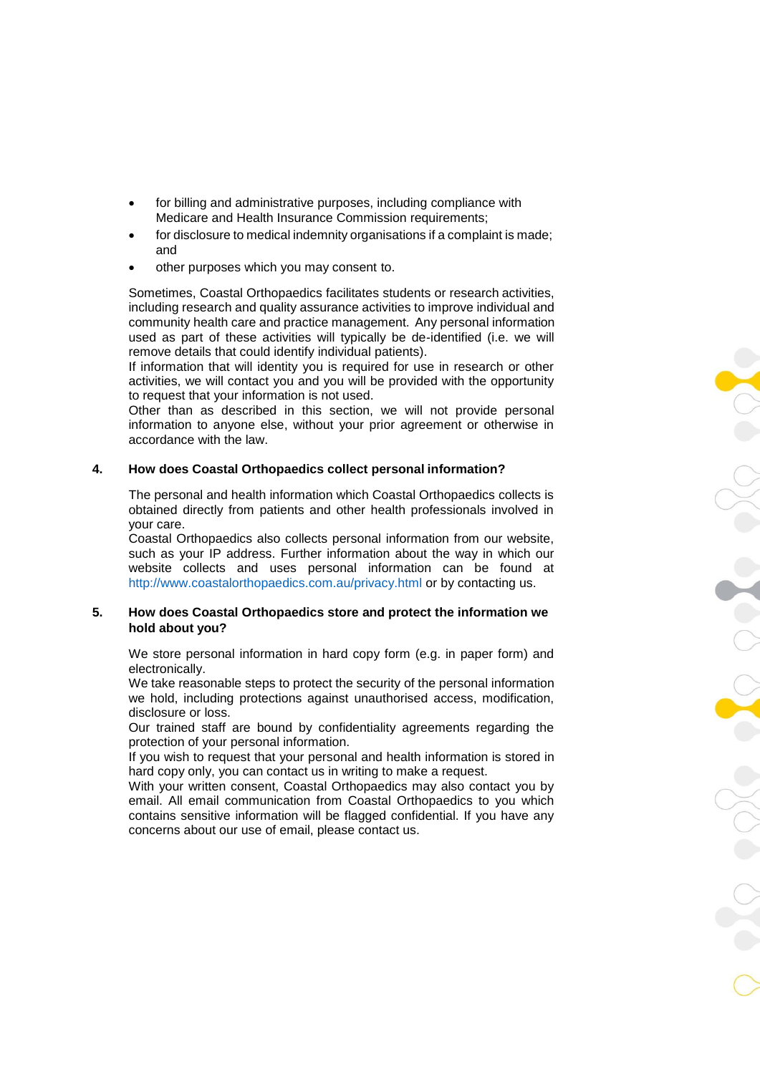- for billing and administrative purposes, including compliance with Medicare and Health Insurance Commission requirements;
- for disclosure to medical indemnity organisations if a complaint is made; and
- other purposes which you may consent to.

Sometimes, Coastal Orthopaedics facilitates students or research activities, including research and quality assurance activities to improve individual and community health care and practice management. Any personal information used as part of these activities will typically be de-identified (i.e. we will remove details that could identify individual patients).

If information that will identity you is required for use in research or other activities, we will contact you and you will be provided with the opportunity to request that your information is not used.

Other than as described in this section, we will not provide personal information to anyone else, without your prior agreement or otherwise in accordance with the law.

### **4. How does Coastal Orthopaedics collect personal information?**

The personal and health information which Coastal Orthopaedics collects is obtained directly from patients and other health professionals involved in your care.

Coastal Orthopaedics also collects personal information from our website, such as your IP address. Further information about the way in which our website collects and uses personal information can be found at <http://www.coastalorthopaedics.com.au/privacy.html> or by contacting us.

### **5. How does Coastal Orthopaedics store and protect the information we hold about you?**

We store personal information in hard copy form (e.g. in paper form) and electronically.

We take reasonable steps to protect the security of the personal information we hold, including protections against unauthorised access, modification, disclosure or loss.

Our trained staff are bound by confidentiality agreements regarding the protection of your personal information.

If you wish to request that your personal and health information is stored in hard copy only, you can contact us in writing to make a request.

With your written consent, Coastal Orthopaedics may also contact you by email. All email communication from Coastal Orthopaedics to you which contains sensitive information will be flagged confidential. If you have any concerns about our use of email, please contact us.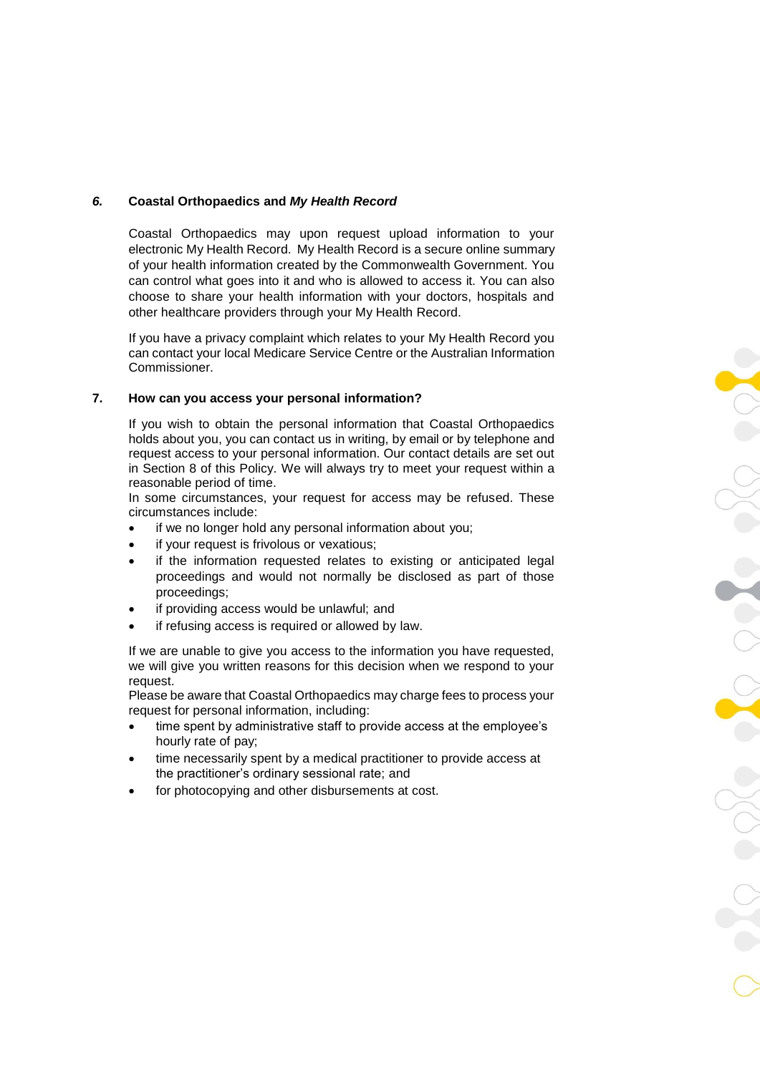# *6.* **Coastal Orthopaedics and** *My Health Record*

Coastal Orthopaedics may upon request upload information to your electronic My Health Record. My Health Record is a secure online summary of your health information created by the Commonwealth Government. You can control what goes into it and who is allowed to access it. You can also choose to share your health information with your doctors, hospitals and other healthcare providers through your My Health Record.

If you have a privacy complaint which relates to your My Health Record you can contact your local Medicare Service Centre or the Australian Information Commissioner.

## **7. How can you access your personal information?**

If you wish to obtain the personal information that Coastal Orthopaedics holds about you, you can contact us in writing, by email or by telephone and request access to your personal information. Our contact details are set out in Section 8 of this Policy. We will always try to meet your request within a reasonable period of time.

In some circumstances, your request for access may be refused. These circumstances include:

- if we no longer hold any personal information about you;
- if your request is frivolous or vexatious;
- if the information requested relates to existing or anticipated legal proceedings and would not normally be disclosed as part of those proceedings;
- if providing access would be unlawful; and
- if refusing access is required or allowed by law.

If we are unable to give you access to the information you have requested, we will give you written reasons for this decision when we respond to your request.

Please be aware that Coastal Orthopaedics may charge fees to process your request for personal information, including:

- time spent by administrative staff to provide access at the employee's hourly rate of pay;
- time necessarily spent by a medical practitioner to provide access at the practitioner's ordinary sessional rate; and
- for photocopying and other disbursements at cost.